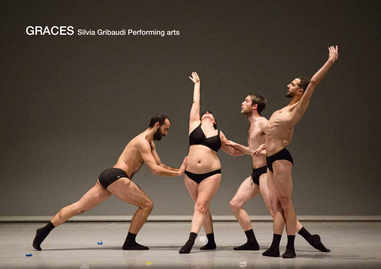# GRACES Silvia Gribaudi Performing arts

۵à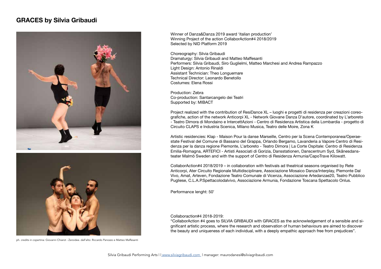## **GRACES by Silvia Gribaudi**





ph. credits in copertina: Giovanni Chiarot - Zeroidee. dall'alto: Riccardo Panozzo e Matteo Maffesanti

Winner of Danza&Danza 2019 award 'italian production' Winning Project of the action CollaborAction#4 2018/2019 Selected by NID Platform 2019

Choreography: Silvia Gribaudi Dramaturgy: Silvia Gribaudi and Matteo Maffesanti Performers: Silvia Gribaudi, Siro Guglielmi, Matteo Marchesi and Andrea Rampazzo Light Design: Antonio Rinaldi Assistant Technician: Theo Longuemare Technical Director: Leonardo Benetollo Costumes: Elena Rossi

Production: Zebra Co-production: Santarcangelo dei Teatri Supported by: MIBACT

Project realized with the contribution of ResiDance XL – luoghi e progetti di residenza per creazioni coreografiche, action of the network Anticorpi XL - Network Giovane Danza D'autore, coordinated by L'arboreto - Teatro Dimora di Mondaino e IntercettAzioni - Centro di Residenza Artistica della Lombardia - progetto di Circuito CLAPS e Industria Scenica, Milano Musica, Teatro delle Moire, Zona K

Artistic residencies: Klap - Maison Pour la danse Marseille, Centro per la Scena Contemporanea/Operaestate Festival del Comune di Bassano del Grappa, Orlando Bergamo, Lavanderia a Vapore Centro di Residenza per la danza regione Piemonte, L'arboreto - Teatro Dimora | La Corte Ospitale: Centro di Residenza Emilia-Romagna, ARTEFICI - Artisti Associati di Gorizia, Dansstationen, Danscentrum Syd, Skånesdansteater Malmö Sweden and with the support of Centro di Residenza Armunia/CapoTrave Kilowatt.

CollaborAction#4 2018/2019 – in collaboration with festivals ad theatrical seasons organised by Rete Anticorpi, Ater Circuito Regionale Multidisciplinare, Associazione Mosaico Danza/Interplay, Piemonte Dal Vivo, Amat, Arteven, Fondazione Teatro Comunale di Vicenza, Associazione Artedanzae20, Teatro Pubblico Pugliese, C.L.A.P.Spettacolodalvivo, Associazione Armunia, Fondazione Toscana Spettacolo Onlus.

Performance lenght: 50'

#### Collaboraction#4 2018-2019:

"CollaborAction #4 goes to SILVIA GRIBAUDI with GRACES as the acknowledgement of a sensible and significant artistic process, where the research and observation of human behaviours are aimed to discover the beauty and uniqueness of each individual, with a deeply empathic approach free from prejudices".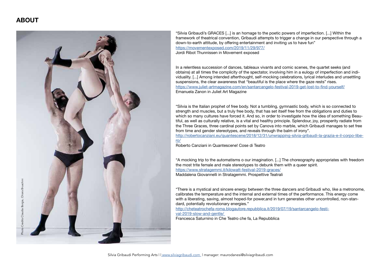## **ABOUT**



"Silvia Gribaudi's GRACES [...] is an homage to the poetic powers of imperfection. [...] Within the framework of theatrical convention, Gribaudi attempts to trigger a change in our perspective through a down-to-earth attitude, by offering entertainment and inviting us to have fun" https://movementexposed.com/2019/11/29/977/ Jordi Ribot Thunnissen in Movement exposed

In a relentless succession of dances, tableaux vivants and comic scenes, the quartet seeks (and obtains) at all times the complicity of the spectator, involving him in a eulogy of imperfection and individuality. [...] Among intended afterthought, self-mocking celebrations, lyrical interludes and unsettling suspensions, the clear awareness that "beautiful is the place where the gaze rests" rises. https://www.juliet-artmagazine.com/en/santarcangelo-festival-2019-get-lost-to-find-yourself/ Emanuela Zanon in Juliet Art Magazine

"Silvia is the Italian prophet of free body. Not a tumbling, gymnastic body, which is so connected to strength and muscles, but a truly free body, that has set itself free from the obligations and duties to which so many cultures have forced it. And so, in order to investigate how the idea of something Beautiful, as well as culturally relative, is a vital and healthy principle. Splendour, joy, prosperity radiate from the Three Graces, three cardinal points set by Canova into marble, which Gribaudi manages to set free from time and gender stereotypes, and reveals through the balm of irony".

http://robertocanziani.eu/quantescene/2018/12/31/unwrapping-silvia-gribaudi-la-grazia-e-il-corpo-libero/

Roberto Canziani in Quantescene! Cose di Teatro

"A mocking trip to the automatisms o our imagination. [...] The choreography appropriates with freedom the most trite female and male stereotypes to debunk them with a queer spirit. https://www.stratagemmi.it/kilowatt-festival-2019-graces/ Maddalena Giovannelli in Stratagemmi. Prospettive Teatrali

"There is a mystical and sincere energy between the three dancers and Gribaudi who, like a metronome, calibrates the temperature and the internal and external times of the performance. This energy come with a liberating, saving, almost hoped-for power,and in turn generates other uncontrolled, non-standard, potentially revolutionary energies."

http://cheteatrochefa-roma.blogautore.repubblica.it/2019/07/19/santarcangelo-festival-2019-slow-and-gentle/

Francesca Saturnino in Che Teatro che fa, La Repubblica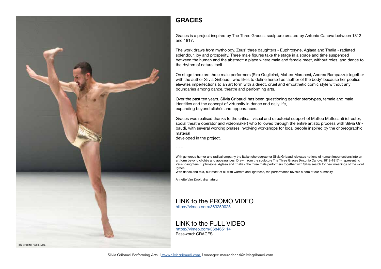

## **GRACES**

Graces is a project inspired by The Three Graces, sculpture created by Antonio Canova between 1812 and 1817.

The work draws from mythology. Zeus' three daughters - Euphrosyne, Aglaea and Thalia - radiated splendour, joy and prosperity. Three male figures take the stage in a space and time suspended between the human and the abstract: a place where male and female meet, without roles, and dance to the rhythm of nature itself.

On stage there are three male performers (Siro Guglielmi, Matteo Marchesi, Andrea Rampazzo) together with the author Silvia Gribaudi, who likes to define herself as 'author of the body' because her poetics elevates imperfections to an art form with a direct, cruel and empathetic comic style without any boundaries among dance, theatre and performing arts.

Over the past ten years, Silvia Gribaudi has been questioning gender sterotypes, female and male identities and the concept of virtuosity in dance and daily life, expanding beyond clichés and appearances.

Graces was realised thanks to the critical, visual and directorial support of Matteo Maffesanti (director, social theatre operator and videomaker) who followed through the entire artistic process with Silvia Gribaudi, with several working phases involving workshops for local people inspired by the choreographic material

developed in the project.

- - -

With generous humor and radical empathy the Italian choreographer Silvia Gribaudi elevates notions of human imperfections into an art form beyond clichés and appearances. Drawn from the sculpture The Three Graces (Antonio Canova 1812-1817) - representing Zeus' daughters Euphrosyne, Aglaea and Thalia - the three male performers together with Silvia search for new meanings of the word 'grace'.

With dance and text, but most of all with warmth and lightness, the performance reveals a core of our humanity.

Annette Van Zwoll, dramaturg.

#### LINK to the PROMO VIDEO https://vimeo.com/363259025

LINK to the FULL VIDEO https://vimeo.com/368465114

Password: GRACES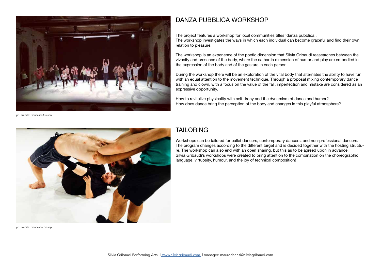

ph. credits: Francesca Giuliani

# DANZA PURBLICA WORKSHOP

The project features a workshop for local communities titles 'danza pubblica'. The workshop investigates the ways in which each individual can become graceful and find their own relation to pleasure.

The workshop is an experience of the poetic dimension that Silvia Gribaudi reasearches between the vivacity and presence of the body, where the cathartic dimension of humor and play are embodied in the expression of the body and of the gesture in each person.

During the workshop there will be an exploration of the vital body that alternates the ability to have fun with an equal attention to the movement technique. Through a proposal mixing contemporary dance training and clown, with a focus on the value of the fall, imperfection and mistake are considered as an expressive opportunity.

How to revitalize physicality with self -irony and the dynamism of dance and humor? How does dance bring the perception of the body and changes in this playful atmosphere?



## TAILORING

Workshops can be tailored for ballet dancers, contemporary dancers, and non-professional dancers. The program changes according to the different target and is decided together with the hosting structure. The workshop can also end with an open sharing, but this as to be agreed upon in advance. Silvia Gribaudi's workshops were created to bring attention to the combination on the choreographic language, virtuosity, humour, and the joy of technical composition!

ph. credits: Francesco Presepi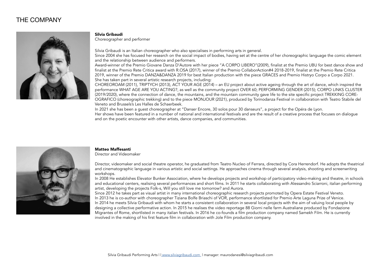# THE COMPANY



#### Silvia Gribaudi

Choreographer and performer

Silvia Gribaudi is an Italian choreographer who also specialises in performing arts in general. Since 2004 she has focused her research on the social impact of bodies, having set at the centre of her choreographic language the comic element and the relationship between audience and performers.

Award-winner of the Premio Giovane Danza D'Autore with her piece "A CORPO LIBERO"(2009), finalist at the Premio UBU for best dance show and finalist at the Premio Rete Critica award with R.OSA (2017), winner of the Premio CollaborAction#4 2018-2019, finalist at the Premio Rete Critica 2019, winner of the Premio DANZA&DANZA 2019 for best Italian production with the piece GRACES and Premio Histryo Corpo a Corpo 2021. She has taken part in several artistic research projects, including:

CHOREOROAM (2011), TRIPTYCH (2013), ACT YOUR AGE (2014) – an EU project about active ageing through the art of dance, which inspired the performance WHAT AGE ARE YOU ACTING?, as well as the community project OVER 60; PERFORMING GENDER (2015); CORPO LINKS CLUSTER (2019/2020), where the connection of dance, the mountains, and the mountain community gave life to the site specific project TREKKING CORE-OGRAFICO (choreographic trekking) and to the piece MONJOUR (2021), produced by Torinodanza Festival in collaboration with Teatro Stabile del Veneto and Brussels's Les Halles de Schaerbeek.

In 2021 she has been a guest choreographer at "Danser Encore, 30 solos pour 30 danseurs", a project for the Opéra de Lyon.

Her shows have been featured in a number of national and international festivals and are the result of a creative process that focuses on dialogue and on the poetic encounter with other artists, dance companies, and communities.



#### Matteo Maffesanti

Director and Videomaker

Director, videomaker and social theatre operator, he graduated from Teatro Nucleo of Ferrara, directed by Cora Herrendorf. He adopts the theatrical and cinematographic language in various artistic and social settings. He approaches cinema through several analysis, shooting and screenwriting workshops.

In 2008 He establishes Elevator Bunker Association, where he develops projects and workshop of participatory video-making and theatre, in schools and educational centers, realising several performances and short films. In 2011 he starts collaborating with Alessandro Sciarroni, italian performing artist, developing the projects Folk-s, Will you still love me tomorrow? and Aurora.

Since 2012 he takes part as visual artist in many international choreographic research projects promoted by Opera Estate Festival Veneto. In 2013 he is co-author with choreographer Tiziana Bolfe Briaschi of VOR, performance shortlisted for Premio Arte Laguna Prize of Venice. In 2014 he meets Silvia Gribaudi with whom he starts a consistent collaboration in several local projects with the aim of valuing local people by designing a collective performative action. In 2015 he realises the video reportage 88 Giorni nelle farm Australiane produced by Fondazione Migrantes of Rome, shortlisted in many italian festivals. In 2016 he co-founds a film production company named Samekh Film. He is currently involved in the making of his first feature film in collaboration with Jole Film production company.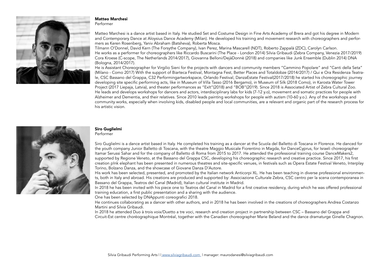#### Matteo Marchesi

Performer



Matteo Marchesi is a dance artist based in Italy. He studied Set and Costume Design in Fine Arts Academy of Brera and got his degree in Modern and Contemporary Dance at Aloysius Dance Academy (Milan). He developed his training and movement research with choreographers and performers as Keren Rosenberg, Yaniv Abraham (Batsheva), Roberta Mosca.

Tilmann O'Donnel, David Kern (The Forsythe Company), Ivan Perez, Marina Mascarell (NDT), Roberto Zappalà (ZDC), Carolyn Carlson. He works as a performer for choreographers like Riccardo Buscarini (The Place - London 2014) Silvia Gribaudi (Zebra Company, Venezia 2017/2019) Cora Kroese (C-scope, The Netherlands 2014/2017), Giovanna Belloni/DejàDonnè (2018) and companies like Junk Ensemble (Dublin 2014) DNA (Bologna, 2014/2017).

He is Assistant Choreographer for Virgilio Sieni for the projects with dancers and community members "Cammino Popolare" and "Canti della Seta" (Milano - Como 2017) With the support of Biarteca Festival, Montagna Fest, Better Places and Totaldobze (2014/2017) / Qui e Ora Residenza Teatrale, CSC Bassano del Grappa, C32 Performingartworkspace, Orlando Festival, DanzaEstate Festival(2017/2018) he started his choreographic journey developing site specific performing acts, like in Museum of Villa Tasso (2016 Bergamo), in Museum of Silk (2018 Como), in Karosta Water Tower Project (2017 Liepaja, Latvia), and theater performances as "ExIt"(2018) and "BOB"(2019). Since 2018 is Associated Artist of Zebra Cultural Zoo. He leads and develops workshops for dancers and actors, interdisciplinary labs for kids (7-12 y.o), movement and somatic practices for people with Alzheimer and Dementia, and their relatives. Since 2010 leads painting workshops for people with autism (10-60 y.o.). Any of the workshops and community works, especially when involving kids, disabled people and local communities, are a relevant and organic part of the research process for his artistic vision.



### Siro Guglielmi

Performer

Siro Guglielmi is a dance artist based in Italy. He completed his training as a dancer at the Scuola del Balletto di Toscana in Florence. He danced for the youth company Junior Balletto di Toscana, with the theatre Maggio Musicale Fiorentino in Magda, for DanceCyprus, for Israeli choreographer Itamar Serussi Sahar and for the company of Balletto di Roma from 2015 to 2017. He attended the professional training course DanceMakers2, supported by Regione Veneto, at the Bassano del Grappa CSC, developing his choreographic research and creative practice. Since 2017, his first creation p!nk elephant has been presented in numerous theatres and site-specific venues, in festivals such as Opera Estate Festival Veneto, Interplay Torino, Bolzano Danza, and the showcase of Giovane Danza D'Autore.

His work has been selected, presented, and promoted by the Italian network Anticorpi XL. He has been teaching in diverse professional environments, both in Italy and abroad. His creations are produced and supported by: Associazione Culturale Zebra, CSC centro per la scena contemporanea in Bassano del Grappa, Teatros del Canal (Madrid), Italian cultural institute in Madrid.

In 2018 he has been invited with his piece one to Teatros del Canal in Madrid for a first creative residency, during which he was offered professional training education, a first public presentation and a sharing with the audience.

One has been selected by DNAppunti coreografici 2018.

He continues collaborating as a dancer with other authors, and in 2018 he has been involved in the creations of choreographers Andrea Costanzo Martini and Silvia Gribaudi.

In 2018 he attended Duo à trois voix/Duetto a tre voci, research and creation project in partnership between CSC – Bassano del Grappa and Circuit-Est centre choréographique Montréal, together with the Canadien choreographer Marie Beland and the dance dramaturge Ginelle Chagnon.